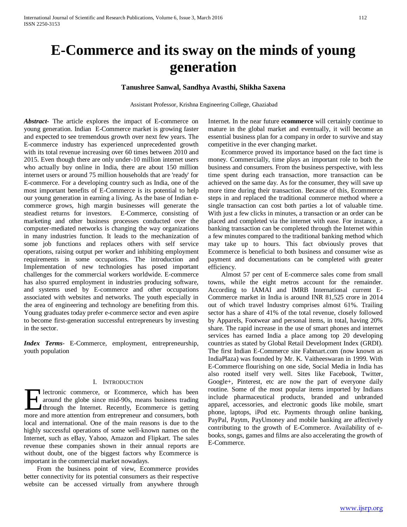# **E-Commerce and its sway on the minds of young generation**

## **Tanushree Sanwal, Sandhya Avasthi, Shikha Saxena**

Assistant Professor, Krishna Engineering College, Ghaziabad

*Abstract***-** The article explores the impact of E-commerce on young generation. Indian E-Commerce market is growing faster and expected to see tremendous growth over next few years. The E-commerce industry has experienced unprecedented growth with its total revenue increasing over 60 times between 2010 and 2015. Even though there are only under-10 million internet users who actually buy online in India, there are about 150 million internet users or around 75 million households that are 'ready' for E-commerce. For a developing country such as India, one of the most important benefits of E-Commerce is its potential to help our young generation in earning a living. As the base of Indian ecommerce grows, high margin businesses will generate the steadiest returns for investors. E-Commerce, consisting of marketing and other business processes conducted over the computer-mediated networks is changing the way organizations in many industries function. It leads to the mechanization of some job functions and replaces others with self service operations, raising output per worker and inhibiting employment requirements in some occupations. The introduction and Implementation of new technologies has posed important challenges for the commercial workers worldwide. E-commerce has also spurred employment in industries producing software, and systems used by E-commerce and other occupations associated with websites and networks. The youth especially in the area of engineering and technology are benefiting from this. Young graduates today prefer e-commerce sector and even aspire to become first-generation successful entrepreneurs by investing in the sector.

*Index Terms*- E-Commerce, employment, entrepreneurship, youth population

### I. INTRODUCTION

**Ilectronic commerce, or Ecommerce, which has been** around the globe since mid-90s, means business trading through the Internet. Recently, Ecommerce is getting **1** lectronic commerce, or Ecommerce, which has been around the globe since mid-90s, means business trading through the Internet. Recently, Ecommerce is getting more and more attention from entrepreneur and consumers, both local and international. One of the main reasons is due to the highly successful operations of some well-known names on the Internet, such as eBay, Yahoo, Amazon and Flipkart. The sales revenue these companies shown in their annual reports are without doubt, one of the biggest factors why Ecommerce is important in the commercial market nowadays.

 From the business point of view, Ecommerce provides better connectivity for its potential consumers as their respective website can be accessed virtually from anywhere through Internet. In the near future e**commerce** will certainly continue to mature in the global market and eventually, it will become an essential business plan for a company in order to survive and stay competitive in the ever changing market.

 Ecommerce proved its importance based on the fact time is money. Commercially, time plays an important role to both the business and consumers. From the business perspective, with less time spent during each transaction, more transaction can be achieved on the same day. As for the consumer, they will save up more time during their transaction. Because of this, Ecommerce steps in and replaced the traditional commerce method where a single transaction can cost both parties a lot of valuable time. With just a few clicks in minutes, a transaction or an order can be placed and completed via the internet with ease. For instance, a banking transaction can be completed through the Internet within a few minutes compared to the traditional banking method which may take up to hours. This fact obviously proves that Ecommerce is beneficial to both business and consumer wise as payment and documentations can be completed with greater efficiency.

 Almost 57 per cent of E-commerce sales come from small towns, while the eight metros account for the remainder. According to IAMAI and IMRB International current E-Commerce market in India is around INR 81,525 crore in 2014 out of which travel Industry comprises almost 61%. Trailing sector has a share of 41% of the total revenue, closely followed by Apparels, Footwear and personal items, in total, having 20% share. The rapid increase in the use of smart phones and internet services has earned India a place among top 20 developing countries as stated by Global Retail Development Index (GRDI). The first Indian E-Commerce site Fabmart.com (now known as IndiaPlaza) was founded by Mr. K. Vaitheeswaran in 1999. With E-Commerce flourishing on one side, Social Media in India has also rooted itself very well. Sites like Facebook, Twitter, Google+, Pinterest, etc are now the part of everyone daily routine. Some of the most popular items imported by Indians include pharmaceutical products, branded and unbranded apparel, accessories, and electronic goods like mobile, smart phone, laptops, iPod etc. Payments through online banking, PayPal, Paytm, PayUmoney and mobile banking are affectively contributing to the growth of E-Commerce. Availability of ebooks, songs, games and films are also accelerating the growth of E-Commerce.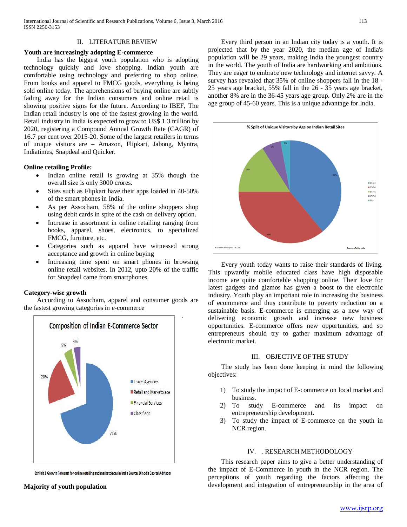### II. LITERATURE REVIEW

#### **Youth are increasingly adopting E-commerce**

 India has the biggest youth population who is adopting technology quickly and love shopping. Indian youth are comfortable using technology and preferring to shop online. From books and apparel to FMCG goods, everything is being sold online today. The apprehensions of buying online are subtly fading away for the Indian consumers and online retail is showing positive signs for the future. According to IBEF, The Indian retail industry is one of the fastest growing in the world. Retail industry in India is expected to grow to US\$ 1.3 trillion by 2020, registering a Compound Annual Growth Rate (CAGR) of 16.7 per cent over 2015-20. Some of the largest retailers in terms of unique visitors are – Amazon, Flipkart, Jabong, Myntra, Indiatimes, Snapdeal and Quicker.

## **Online retailing Profile:**

- Indian online retail is growing at 35% though the overall size is only 3000 crores.
- Sites such as Flipkart have their apps loaded in 40-50% of the smart phones in India.
- As per Assocham, 58% of the online shoppers shop using debit cards in spite of the cash on delivery option.
- Increase in assortment in online retailing ranging from books, apparel, shoes, electronics, to specialized FMCG, furniture, etc.
- Categories such as apparel have witnessed strong acceptance and growth in online buying
- Increasing time spent on smart phones in browsing online retail websites. In 2012, upto 20% of the traffic for Snapdeal came from smartphones.

#### **Category-wise growth**

 According to Assocham, apparel and consumer goods are the fastest growing categories in e-commerce

.



Exhibit 1 Growth Forecast for online retailing and marketplaces in India Source: Dinodia Capital Advisors

## **Majority of youth population**

 Every third person in an Indian city today is a youth. It is projected that by the year 2020, the median age of India's population will be 29 years, making India the youngest country in the world. The youth of India are hardworking and ambitious. They are eager to embrace new technology and internet savvy. A survey has revealed that 35% of online shoppers fall in the 18 - 25 years age bracket, 55% fall in the 26 - 35 years age bracket, another 8% are in the 36-45 years age group. Only 2% are in the age group of 45-60 years. This is a unique advantage for India.



 Every youth today wants to raise their standards of living. This upwardly mobile educated class have high disposable income are quite comfortable shopping online. Their love for latest gadgets and gizmos has given a boost to the electronic industry. Youth play an important role in increasing the business of ecommerce and thus contribute to poverty reduction on a sustainable basis. E-commerce is emerging as a new way of delivering economic growth and increase new business opportunities. E-commerce offers new opportunities, and so entrepreneurs should try to gather maximum advantage of electronic market.

#### III. OBJECTIVE OF THE STUDY

 The study has been done keeping in mind the following objectives:

- 1) To study the impact of E-commerce on local market and business.
- 2) To study E-commerce and its impact on entrepreneurship development.
- 3) To study the impact of E-commerce on the youth in NCR region.

#### IV. . RESEARCH METHODOLOGY

 This research paper aims to give a better understanding of the impact of E-Commerce in youth in the NCR region. The perceptions of youth regarding the factors affecting the development and integration of entrepreneurship in the area of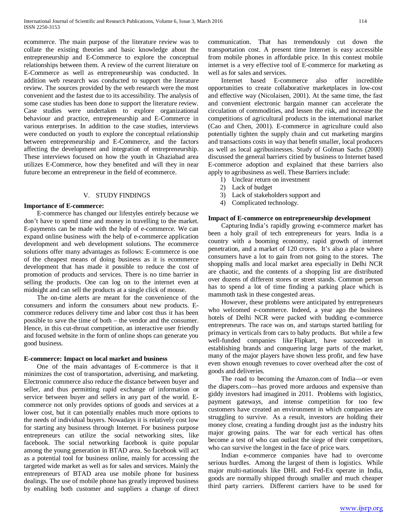ecommerce. The main purpose of the literature review was to collate the existing theories and basic knowledge about the entrepreneurship and E-Commerce to explore the conceptual relationships between them. A review of the current literature on E-Commerce as well as entrepreneurship was conducted. In addition web research was conducted to support the literature review. The sources provided by the web research were the most convenient and the fastest due to its accessibility. The analysis of some case studies has been done to support the literature review. Case studies were undertaken to explore organizational behaviour and practice, entrepreneurship and E-Commerce in various enterprises. In addition to the case studies, interviews were conducted on youth to explore the conceptual relationship between entrepreneurship and E-Commerce, and the factors affecting the development and integration of entrepreneurship. These interviews focused on how the youth in Ghaziabad area utilizes E-Commerce, how they benefited and will they in near future become an entrepreneur in the field of ecommerce.

#### V. STUDY FINDINGS

#### **Importance of E-commerce:**

 E-commerce has changed our lifestyles entirely because we don't have to spend time and money in travelling to the market. [E-payments](http://www.halwasiyainfosys.com/) can be made with the help of e-commerce. We can expand online business with the help of e-commerce application development and [web development solutions.](http://www.halwasiyainfosys.com/) The ecommerce solutions offer many advantages as follows: E-commerce is one of the cheapest means of doing [business](http://www.halwasiyainfosys.com/) as it is ecommerce development that has made it possible to reduce the cost of promotion of products and services. There is no time barrier in selling the products. One can log on to the internet even at midnight and can sell the products at a single click of mouse.

 The [on-time alerts](http://www.halwasiyainfosys.com/) are meant for the convenience of the consumers and inform the consumers about new products. Ecommerce reduces delivery time and labor cost thus it has been possible to save the time of both – the vendor and the consumer. Hence, in this cut-throat competition, an [interactive user friendly](http://www.halwasiyainfosys.com/)  [and focused website](http://www.halwasiyainfosys.com/) in the form of [online shops](http://www.halwasiyainfosys.com/) can generate you good business.

#### **E-commerce: Impact on local market and business**

 One of the main advantages of E-commerce is that it minimizes the cost of transportation, advertising, and marketing. Electronic commerce also reduce the distance between buyer and seller, and thus permitting rapid exchange of information or service between buyer and sellers in any part of the world. Ecommerce not only provides options of goods and services at a lower cost, but it can potentially enables much more options to the needs of individual buyers. Nowadays it is relatively cost low for starting any business through Internet. For business purpose entrepreneurs can utilize the social networking sites, like facebook. The social networking facebook is quite popular among the young generation in BTAD area. So facebook will act as a potential tool for business online, mainly for accessing the targeted wide market as well as for sales and services. Mainly the entrepreneurs of BTAD area use mobile phone for business dealings. The use of mobile phone has greatly improved business by enabling both customer and suppliers a change of direct communication. That has tremendously cut down the transportation cost. A present time Internet is easy accessible from mobile phones in affordable price. In this contest mobile internet is a very effective tool of E-commerce for marketing as well as for sales and services.

 Internet based E-commerce also offer incredible opportunities to create collaborative marketplaces in low-cost and effective way (Nicolaisen, 2001). At the same time, the fast and convenient electronic bargain manner can accelerate the circulation of commodities, and lessen the risk, and increase the competitions of agricultural products in the international market (Cao and Chen, 2001). E-commerce in agriculture could also potentially tighten the supply chain and cut marketing margins and transactions costs in way that benefit smaller, local producers as well as local agribusinesses. Study of Golman Sachs (2000) discussed the general barriers citied by business to Internet based E-commerce adoption and explained that these barriers also apply to agribusiness as well. These Barriers include:

- 1) Unclear return on investment
- 2) Lack of budget
- 3) Lack of stakeholders support and
- 4) Complicated technology.

#### **Impact of E-commerce on entrepreneurship development**

 Capturing [India'](http://www.forbes.com/places/india/)s rapidly growing e-commerce market has been a holy grail of tech entrepreneurs for years. India is a country with a booming economy, rapid growth of internet penetration, and a market of 120 crores. It's also a place where consumers have a lot to gain from not going to the stores. The shopping malls and local market area especially in Delhi NCR are chaotic, and the contents of a shopping list are distributed over dozens of different stores or street stands. Common person has to spend a lot of time finding a parking place which is mammoth task in these congested areas.

 However, these problems were anticipated by entrepreneurs who welcomed e-commerce. Indeed, a year ago the business hotels of Delhi NCR were packed with budding e-commerce entrepreneurs. The race was on, and startups started battling for primacy in verticals from cars to baby products. But while a few well-funded companies like [Flipkart,](http://www.flipkart.com/) have succeeded in establishing brands and conquering large parts of the market, many of the major players have shown less profit, and few have even shown enough revenues to cover overhead after the cost of goods and deliveries.

 The road to becoming the [Amazon.com](http://www.forbes.com/companies/amazon/) of India—or even the diapers.com—has proved more arduous and expensive than giddy investors had imagined in 2011. Problems with logistics, payment gateways, and intense competition for too few customers have created an environment in which companies are struggling to survive. As a result, investors are holding their money close, creating a funding drought just as the industry hits major growing pains. The war for each vertical has often become a test of who can outlast the siege of their competitors, who can survive the longest in the face of price wars.

 Indian e-commerce companies have had to overcome serious hurdles. Among the largest of them is logistics. While major multi-nationals like DHL and Fed-Ex operate in India, goods are normally shipped through smaller and much cheaper third party carriers. Different carriers have to be used for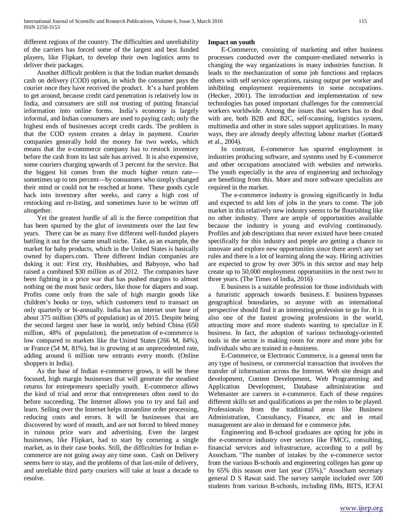different regions of the country. The difficulties and unreliability of the carriers has forced some of the largest and best funded players, like Flipkart, to develop their own logistics arms to deliver their packages.

 Another difficult problem is that the Indian market demands cash on delivery (COD) option, in which the consumer pays the courier once they have received the product. It's a hard problem to get around, because credit card penetration is relatively low in India, and consumers are still not trusting of putting financial information into online forms. India's economy is largely informal, and Indian consumers are used to paying cash; only the highest ends of businesses accept credit cards. The problem is that the COD system creates a delay in payment. Courier companies generally hold the money for two weeks, which means that the e-commerce company has to restock inventory before the cash from its last sale has arrived. It is also expensive, some couriers charging upwards of 3 percent for the service. But the biggest hit comes from the much higher return rate sometimes up to ten percent—by consumers who simply changed their mind or could not be reached at home. These goods cycle back into inventory after weeks, and carry a high cost of restocking and re-listing, and sometimes have to be written off altogether.

 Yet the greatest hurdle of all is the fierce competition that has been spurned by the glut of investments over the last few years. There can be as many five different well-funded players battling it out for the same small niche. Take, as an example, the market for baby products, which in the United States is basically owned by diapers.com. Three different Indian companies are duking it out: First cry, Hushbabies, and Babyoye, who had raised a combined \$30 million as of 2012. The companies have been fighting in a price war that has pushed margins to almost nothing on the most basic orders, like those for diapers and soap. Profits come only from the sale of high margin goods like children's books or toys, which customers tend to transact on only quarterly or bi-annually. [India](https://en.wikipedia.org/wiki/India) has an internet user base of about 375 million (30% of population) as of 2015. Despite being the second largest user base in world, only behind China (650 million, 48% of population), the [penetration](https://en.wikipedia.org/wiki/Market_penetration) of [e-commerce](https://en.wikipedia.org/wiki/E-commerce) is low compared to markets like the [United States](https://en.wikipedia.org/wiki/United_States) (266 M, 84%), or [France](https://en.wikipedia.org/wiki/France) (54 M, 81%), but is growing at an unprecedented rate, adding around 6 million new entrants every month. (Online shoppers in India).

 As the base of Indian e-commerce grows, it will be these focused, high margin businesses that will generate the steadiest returns for entrepreneurs specially youth. E-commerce allows the kind of trial and error that entrepreneurs often need to do before succeeding. The Internet allows you to try and fail and learn. Selling over the Internet helps streamline order processing, reducing costs and errors. It will be businesses that are discovered by word of mouth, and are not forced to bleed money in ruinous price wars and advertising. Even the largest businesses, like Flipkart, had to start by cornering a single market, as in their case books. Still, the difficulties for Indian ecommerce are not going away any time soon. Cash on Delivery seems here to stay, and the problems of that last-mile of delivery, and unreliable third party couriers will take at least a decade to resolve.

## **Impact on youth**

 E-Commerce, consisting of marketing and other business processes conducted over the computer-mediated networks is changing the way organizations in many industries function. It leads to the mechanization of some job functions and replaces others with self service operations, raising output per worker and inhibiting employment requirements in some occupations. (Hecker, 2001). The introduction and implementation of new technologies has posed important challenges for the commercial workers worldwide. Among the issues that workers has to deal with are, both B2B and B2C, self-scanning, logistics system, multimedia and other in store sales support applications. In many ways, they are already deeply affecting labour market (Gottardi et al., 2004).

 In contrast, E-commerce has spurred employment in industries producing software, and systems used by E-commerce and other occupations associated with websites and networks. The youth especially in the area of engineering and technology are benefiting from this. More and more software specialists are required in the market.

 The e-commerce industry is growing significantly in India and expected to add lots of jobs in the years to come. The job market in this relatively new industry seems to be flourishing like no other industry. There are ample of opportunities available because the industry is young and evolving continuously. Profiles and job descriptions that never existed have been created specifically for this industry and people are getting a chance to innovate and explore new opportunities since there aren't any set rules and there is a lot of learning along the way. Hiring activities are expected to grow by over 30% in this sector and may help create up to 50,000 employment opportunities in the next two to three years. (The Times of India, 2016)

 E business is a suitable profession for those individuals with a futuristic approach towards business. E business bypasses geographical boundaries, so anyone with an international perspective should find it an interesting profession to go for. It is also one of the fastest growing professions in the world, attracting more and more students wanting to specialize in E business. In fact, the adoption of various technology-oriented tools in the sector is making room for more and more jobs for individuals who are trained in e-business.

 E-Commerce, or Electronic Commerce, is a general term for any type of business, or commercial transaction that involves the transfer of information across the Internet. Web site design and development, Content Development, Web Programming and Application Development, Database administration and Webmaster are careers in e-commerce. Each of these requires different skills set and qualifications as per the roles to be played. Professionals from the traditional areas like Business Administration, Consultancy, Finance, etc and in retail management are also in demand for e commerce jobs.

 Engineering and B-school graduates are opting for jobs in the e-commerce industry over sectors like FMCG, consulting, financial services and infrastructure, according to a poll by Assocham. "The number of intakes by the e-commerce sector from the various B-schools and engineering colleges has gone up by 65% this season over last year (35%)," Assocham secretary general D S Rawat said. The survey sample included over 500 students from various B-schools, including IIMs, BITS, ICFAI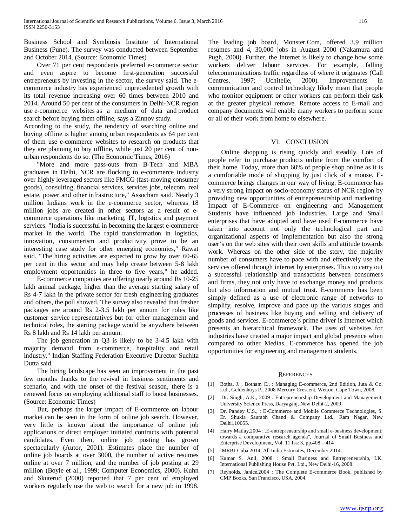Business School and Symbiosis Institute of International Business (Pune). The survey was conducted between September and October 2014. (Source: Economic Times)

 Over 71 per cent respondents preferred e-commerce sector and even aspire to become first-generation successful entrepreneurs by investing in the sector, the survey said. The ecommerce industry has experienced unprecedented growth with its total revenue increasing over 60 times between 2010 and 2014. Around 50 per cent of the consumers in Delhi-NCR region use [e-commerce websites](http://economictimes.indiatimes.com/topic/e-commerce%20websites) as a medium of data and [product](http://economictimes.indiatimes.com/topic/product%20search)  [search](http://economictimes.indiatimes.com/topic/product%20search) before buying them offline, says a [Zinnov](http://economictimes.indiatimes.com/topic/Zinnov) study.

According to the study, the tendency of searching online and buying offline is higher among urban respondents as 64 per cent of them use e-commerce websites to research on products that they are planning to buy offline, while just 20 per cent of nonurban respondents do so. (The Economic Times, 2016)

 "More and more pass-outs from B-Tech and MBA graduates in Delhi, NCR are flocking to e-commerce industry over highly leveraged sectors like FMCG (fast-moving consumer goods), consulting, financial services, services jobs, telecom, real estate, power and other infrastructure," Assocham said. Nearly 3 million Indians work in the e-commerce sector, whereas 18 million jobs are created in other sectors as a result of ecommerce operations like marketing, IT, logistics and payment services. "India is successful in becoming the largest e-commerce market in the world. The rapid transformation in logistics, innovation, consumerism and productivity prove to be an interesting case study for other emerging economies," Rawat said. "The hiring activities are expected to grow by over 60-65 per cent in this sector and may help create between 5-8 lakh employment opportunities in three to five years," he added.

 E-commerce companies are offering nearly around Rs 10-25 lakh annual package, higher than the average starting salary of Rs 4-7 lakh in the private sector for fresh engineering graduates and others, the poll showed. The survey also revealed that fresher packages are around Rs 2-3.5 lakh per annum for roles like customer service representatives but for other management and technical roles, the starting package would be anywhere between Rs 8 lakh and Rs 14 lakh per annum.

 The job generation in Q3 is likely to be 3-4.5 lakh with majority demand from e-commerce, hospitality and retail industry," Indian Staffing Federation Executive Director Suchita Dutta said.

 The hiring landscape has seen an improvement in the past few months thanks to the revival in business sentiments and scenario, and with the onset of the festival season, there is a renewed focus on employing additional staff to boost businesses. (Source: Economic Times)

 But, perhaps the larger impact of E-commerce on labour market can be seen in the form of online job search. However, very little is known about the importance of online job applications or direct employer initiated contracts with potential candidates. Even then, online job posting has grown spectacularly (Autor, 2001). Estimates place the number of online job boards at over 3000, the number of active resumes online at over 7 million, and the number of job posting at 29 million (Boyle et al., 1999; Computer Economics, 2000). Kuhn and Skuterud (2000) reported that 7 per cent of employed workers regularly use the web to search for a new job in 1998.

The leading job board, Monster.Com, offered 3.9 million resumes and 4, 30,000 jobs in August 2000 (Nakamura and Pugh, 2000). Further, the Internet is likely to change how some workers deliver labour services. For example, falling telecommunications traffic regardless of where it originates (Call Centres, 1997; Uchitelle, 2000). Improvements in communication and control technology likely mean that people who monitor equipment or other workers can perform their task at the greater physical remove. Remote access to E-mail and company documents will enable many workers to perform some or all of their work from home to elsewhere.

### VI. CONCLUSION

 Online shopping is rising quickly and steadily. Lots of people refer to purchase products online from the comfort of their home. Today, more than 60% of people shop online as it is a comfortable mode of shopping by just click of a mouse. Ecommerce brings changes in our way of living. E-commerce has a very strong impact on socio-economy status of NCR region by providing new opportunities of entrepreneurship and marketing. Impact of E-Commerce on engineering and Management Students have influenced job industries. Large and Small enterprises that have adopted and have used E-commerce have taken into account not only the technological part and organizational aspects of implementation but also the strong user's on the web sites with their own skills and attitude towards work. Whereas on the other side of the story, the majority number of consumers have to pace with and effectively use the services offered through internet by enterprises. Thus to carry out a successful relationship and transactions between consumers and firms, they not only have to exchange money and products but also information and mutual trust. E-commerce has been simply defined as a use of electronic range of networks to simplify, resolve, improve and pace up the various stages and processes of business like buying and selling and delivery of goods and services. E-commerce`s prime driver is Internet which presents an hierarchical framework. The uses of websites for industries have created a major impact and global presence when compared to other Medias. E-commerce has opened the job opportunities for engineering and management students.

#### **REFERENCES**

- [1] Botha, J. , Botham C., : Managing E-commerce, 2nd Edition, Juta & Co. Ltd., Geldenhuys P., 2008 Mercury Crescent, Wetton, Cape Town, 2008.
- [2] Dr. Singh, A.K., 2009 : Entrepreneurship Development and Management, University Science Press, Daryaganj, New Delhi-2, 2009.
- [3] Dr. Pandey U.S., : E-Commerce and Mobile Commerce Technologies, S. Er. Shukla Saurabh Chand & Company Ltd., Ram Nagar, New Delhi110055.
- [4] Harry Matlay,2004 : .E-entrepreneurship and small e-business development: towards a comparative research agenda", Journal of Small Business and Enterprise Development, Vol. 11 Iss: 3, pp.408 – 414
- [5] IMRBI-Cuba 2014, All India Estimates, December 2014.
- [6] Kumar S. Anil, 2008 : Small Business and Entrepreneurship, I.K. International Publishing House Pvt. Ltd., New Delhi-16, 2008.
- [7] Reynolds, Janice,2004 : The Complete E-commerce Book, published by CMP Books, San Francisco, USA, 2004.